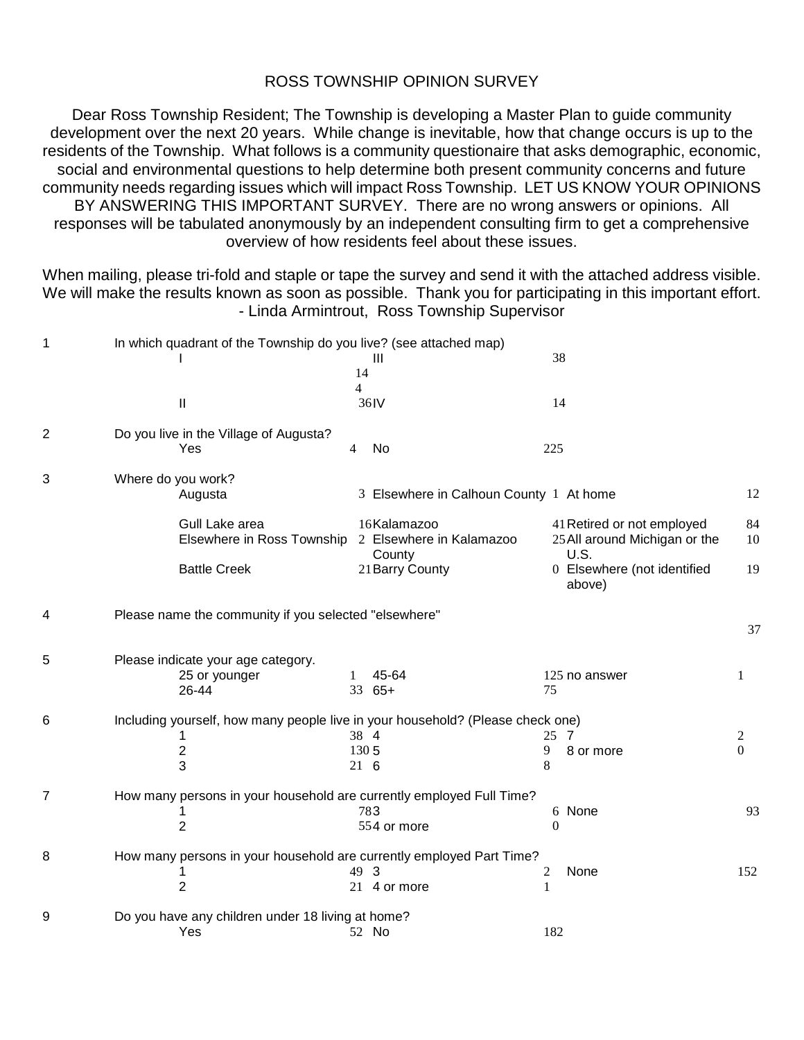## ROSS TOWNSHIP OPINION SURVEY

Dear Ross Township Resident; The Township is developing a Master Plan to guide community development over the next 20 years. While change is inevitable, how that change occurs is up to the residents of the Township. What follows is a community questionaire that asks demographic, economic, social and environmental questions to help determine both present community concerns and future community needs regarding issues which will impact Ross Township. LET US KNOW YOUR OPINIONS BY ANSWERING THIS IMPORTANT SURVEY. There are no wrong answers or opinions. All responses will be tabulated anonymously by an independent consulting firm to get a comprehensive overview of how residents feel about these issues.

When mailing, please tri-fold and staple or tape the survey and send it with the attached address visible. We will make the results known as soon as possible. Thank you for participating in this important effort. - Linda Armintrout, Ross Township Supervisor

| $\mathbf 1$    |                    | In which quadrant of the Township do you live? (see attached map) |              |                                                                                |          |                                       |               |  |  |
|----------------|--------------------|-------------------------------------------------------------------|--------------|--------------------------------------------------------------------------------|----------|---------------------------------------|---------------|--|--|
|                |                    |                                                                   |              | Ш                                                                              | 38       |                                       |               |  |  |
|                |                    |                                                                   | 14           |                                                                                |          |                                       |               |  |  |
|                |                    |                                                                   | 4            |                                                                                |          |                                       |               |  |  |
|                |                    | $\mathbf{I}$                                                      |              | 36IV                                                                           | 14       |                                       |               |  |  |
| $\overline{2}$ |                    | Do you live in the Village of Augusta?                            |              |                                                                                |          |                                       |               |  |  |
|                |                    | Yes                                                               | 4            | No                                                                             | 225      |                                       |               |  |  |
| 3              | Where do you work? |                                                                   |              |                                                                                |          |                                       |               |  |  |
|                |                    | Augusta                                                           |              | 3 Elsewhere in Calhoun County 1 At home                                        |          |                                       | 12            |  |  |
|                |                    | Gull Lake area                                                    |              | 16Kalamazoo                                                                    |          | 41 Retired or not employed            | 84            |  |  |
|                |                    | Elsewhere in Ross Township                                        |              | 2 Elsewhere in Kalamazoo<br>County                                             |          | 25 All around Michigan or the<br>U.S. | 10            |  |  |
|                |                    | <b>Battle Creek</b>                                               |              | 21 Barry County                                                                |          | 0 Elsewhere (not identified<br>above) | 19            |  |  |
| 4              |                    | Please name the community if you selected "elsewhere"             |              |                                                                                |          |                                       |               |  |  |
|                |                    |                                                                   |              |                                                                                |          |                                       | 37            |  |  |
| 5              |                    | Please indicate your age category.                                |              |                                                                                |          |                                       |               |  |  |
|                |                    | 25 or younger<br>26-44                                            | $\mathbf{1}$ | 45-64<br>33 65+                                                                | 75       | 125 no answer                         | 1             |  |  |
|                |                    |                                                                   |              |                                                                                |          |                                       |               |  |  |
| 6              |                    |                                                                   |              | Including yourself, how many people live in your household? (Please check one) |          |                                       |               |  |  |
|                |                    | 1<br>$\overline{c}$                                               | 1305         | 38 4                                                                           | 25<br>9  | - 7<br>8 or more                      | 2<br>$\Omega$ |  |  |
|                |                    | 3                                                                 | $21\quad6$   |                                                                                | 8        |                                       |               |  |  |
| $\overline{7}$ |                    |                                                                   |              | How many persons in your household are currently employed Full Time?           |          |                                       |               |  |  |
|                |                    | 1                                                                 |              | 783                                                                            |          | 6 None                                | 93            |  |  |
|                |                    | $\overline{2}$                                                    |              | 554 or more                                                                    | $\theta$ |                                       |               |  |  |
|                |                    |                                                                   |              |                                                                                |          |                                       |               |  |  |
| 8              |                    |                                                                   |              | How many persons in your household are currently employed Part Time?           |          |                                       |               |  |  |
|                |                    | 1                                                                 |              | 49 3                                                                           | 2        | None                                  | 152           |  |  |
|                |                    | $\overline{2}$                                                    |              | 21 4 or more                                                                   | 1        |                                       |               |  |  |
| 9              |                    | Do you have any children under 18 living at home?                 |              |                                                                                |          |                                       |               |  |  |
|                |                    | Yes                                                               |              | 52 No                                                                          | 182      |                                       |               |  |  |
|                |                    |                                                                   |              |                                                                                |          |                                       |               |  |  |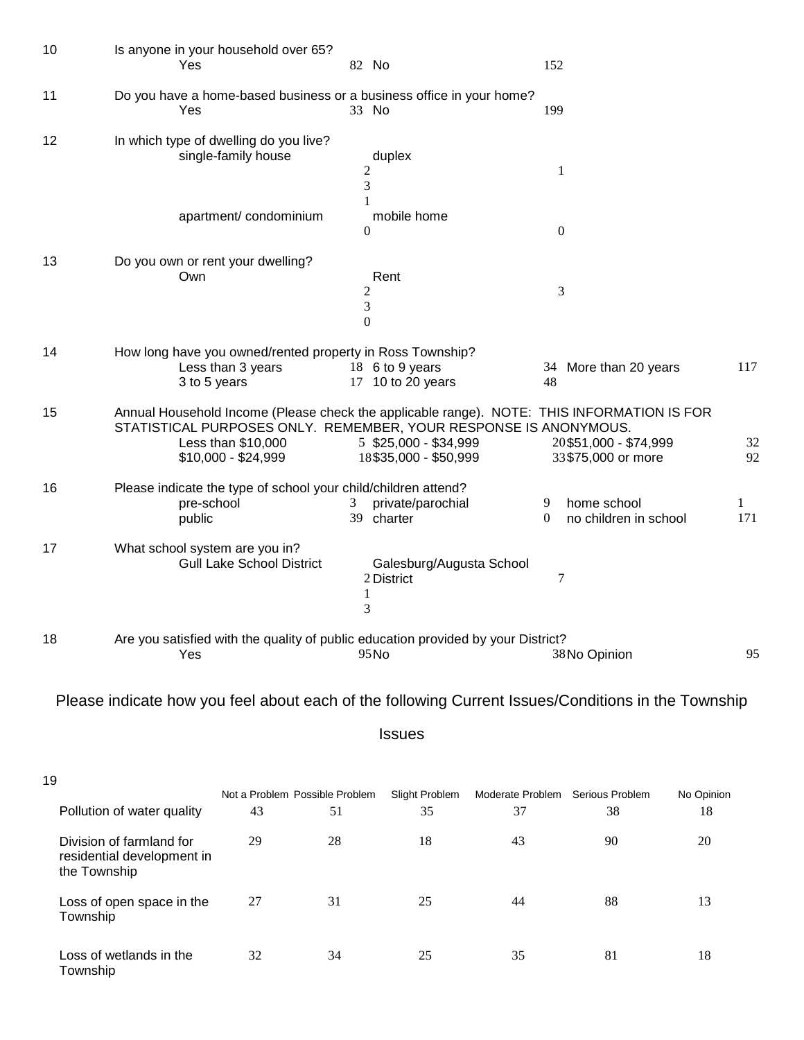| 10 | Is anyone in your household over 65?<br>Yes                                                                   | 82 No                                                | 152                                                                                                                                       |          |
|----|---------------------------------------------------------------------------------------------------------------|------------------------------------------------------|-------------------------------------------------------------------------------------------------------------------------------------------|----------|
| 11 | Do you have a home-based business or a business office in your home?<br>Yes                                   | 33 No                                                | 199                                                                                                                                       |          |
| 12 | In which type of dwelling do you live?<br>single-family house                                                 | duplex<br>$\overline{c}$<br>3                        | $\mathbf{1}$                                                                                                                              |          |
|    | apartment/condominium                                                                                         | mobile home<br>$\boldsymbol{0}$                      | $\boldsymbol{0}$                                                                                                                          |          |
| 13 | Do you own or rent your dwelling?<br>Own                                                                      | Rent<br>$\overline{c}$<br>$\mathfrak{Z}$<br>$\theta$ | 3                                                                                                                                         |          |
| 14 | How long have you owned/rented property in Ross Township?<br>Less than 3 years<br>3 to 5 years                | 18 6 to 9 years<br>17 10 to 20 years                 | 34 More than 20 years<br>48                                                                                                               | 117      |
| 15 | STATISTICAL PURPOSES ONLY. REMEMBER, YOUR RESPONSE IS ANONYMOUS.<br>Less than \$10,000<br>$$10,000 - $24,999$ | 5 \$25,000 - \$34,999<br>18\$35,000 - \$50,999       | Annual Household Income (Please check the applicable range). NOTE: THIS INFORMATION IS FOR<br>20\$51,000 - \$74,999<br>33\$75,000 or more | 32<br>92 |
| 16 | Please indicate the type of school your child/children attend?<br>pre-school<br>public                        | private/parochial<br>3<br>39<br>charter              | home school<br>9<br>$\theta$<br>no children in school                                                                                     | 1<br>171 |
| 17 | What school system are you in?<br><b>Gull Lake School District</b>                                            | Galesburg/Augusta School<br>2 District<br>1<br>3     | 7                                                                                                                                         |          |
| 18 | Are you satisfied with the quality of public education provided by your District?<br>Yes                      | 95No                                                 | 38 No Opinion                                                                                                                             | 95       |

Please indicate how you feel about each of the following Current Issues/Conditions in the Township

Issues

| 19 |                                                                        |    |                                      |                      |                        |                       |                  |
|----|------------------------------------------------------------------------|----|--------------------------------------|----------------------|------------------------|-----------------------|------------------|
|    | Pollution of water quality                                             | 43 | Not a Problem Possible Problem<br>51 | Slight Problem<br>35 | Moderate Problem<br>37 | Serious Problem<br>38 | No Opinion<br>18 |
|    | Division of farmland for<br>residential development in<br>the Township | 29 | 28                                   | 18                   | 43                     | 90                    | 20               |
|    | Loss of open space in the<br>Township                                  | 27 | 31                                   | 25                   | 44                     | 88                    | 13               |
|    | Loss of wetlands in the<br>Township                                    | 32 | 34                                   | 25                   | 35                     | 81                    | 18               |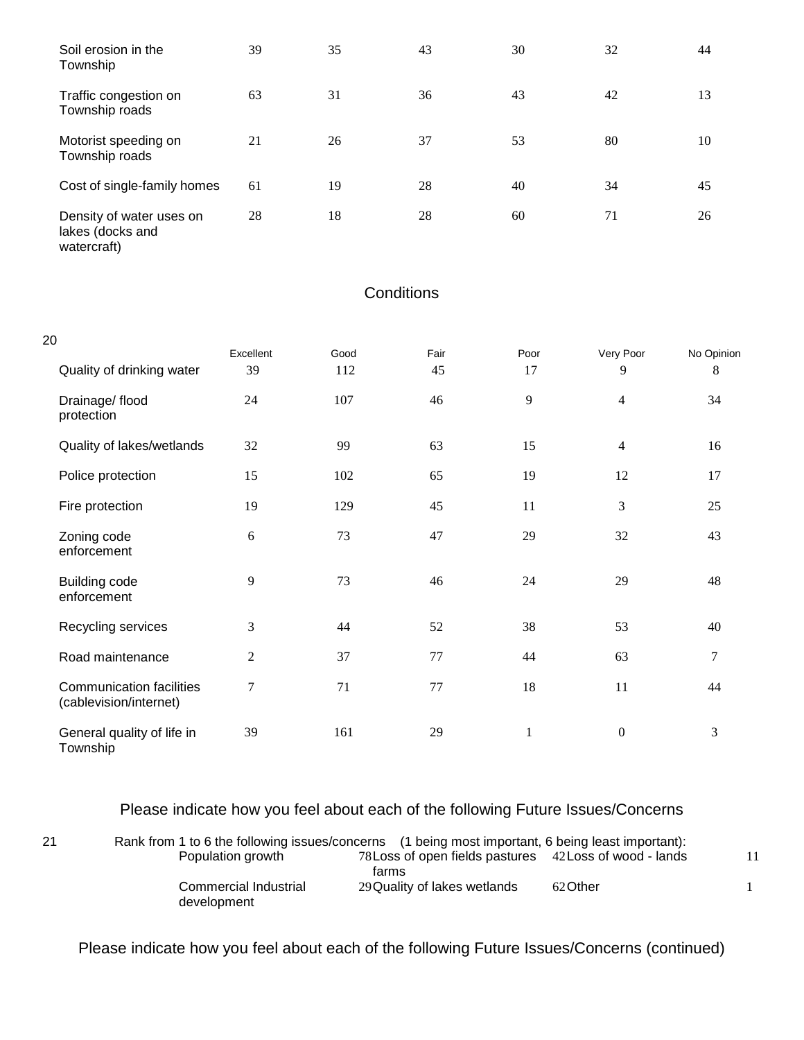| Soil erosion in the<br>Township                             | 39 | 35 | 43 | 30 | 32 | 44 |
|-------------------------------------------------------------|----|----|----|----|----|----|
| Traffic congestion on<br>Township roads                     | 63 | 31 | 36 | 43 | 42 | 13 |
| Motorist speeding on<br>Township roads                      | 21 | 26 | 37 | 53 | 80 | 10 |
| Cost of single-family homes                                 | 61 | 19 | 28 | 40 | 34 | 45 |
| Density of water uses on<br>lakes (docks and<br>watercraft) | 28 | 18 | 28 | 60 | 71 | 26 |

## **Conditions**

| 20                                                        |                  |      |      |              |                  |                |
|-----------------------------------------------------------|------------------|------|------|--------------|------------------|----------------|
|                                                           | Excellent        | Good | Fair | Poor         | Very Poor        | No Opinion     |
| Quality of drinking water                                 | 39               | 112  | 45   | 17           | 9                | 8              |
| Drainage/ flood<br>protection                             | 24               | 107  | 46   | 9            | $\overline{4}$   | 34             |
| Quality of lakes/wetlands                                 | 32               | 99   | 63   | 15           | $\overline{4}$   | 16             |
| Police protection                                         | 15               | 102  | 65   | 19           | 12               | 17             |
| Fire protection                                           | 19               | 129  | 45   | 11           | 3                | 25             |
| Zoning code<br>enforcement                                | 6                | 73   | 47   | 29           | 32               | 43             |
| Building code<br>enforcement                              | $\overline{9}$   | 73   | 46   | 24           | 29               | 48             |
| Recycling services                                        | 3                | 44   | 52   | 38           | 53               | 40             |
| Road maintenance                                          | $\sqrt{2}$       | 37   | 77   | 44           | 63               | $\overline{7}$ |
| <b>Communication facilities</b><br>(cablevision/internet) | $\boldsymbol{7}$ | 71   | 77   | 18           | 11               | 44             |
| General quality of life in<br>Township                    | 39               | 161  | 29   | $\mathbf{1}$ | $\boldsymbol{0}$ | 3              |

## Please indicate how you feel about each of the following Future Issues/Concerns

| 21 | Rank from 1 to 6 the following issues/concerns (1 being most important, 6 being least important): |                                                         |          |  |
|----|---------------------------------------------------------------------------------------------------|---------------------------------------------------------|----------|--|
|    | Population growth                                                                                 | 78 Loss of open fields pastures 42 Loss of wood - lands |          |  |
|    |                                                                                                   | farms                                                   |          |  |
|    | Commercial Industrial<br>development                                                              | 29 Quality of lakes wetlands                            | 62 Other |  |

Please indicate how you feel about each of the following Future Issues/Concerns (continued)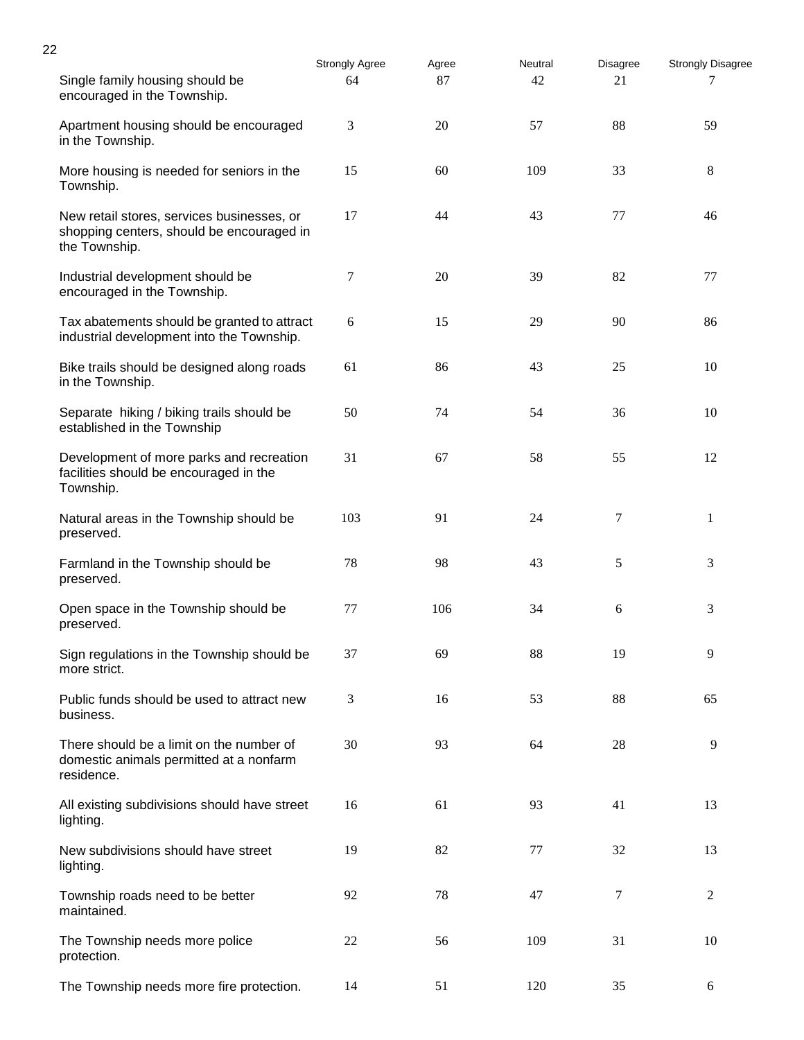| 22 |                                                                                                          |                             |             |               |                |                               |
|----|----------------------------------------------------------------------------------------------------------|-----------------------------|-------------|---------------|----------------|-------------------------------|
|    | Single family housing should be<br>encouraged in the Township.                                           | <b>Strongly Agree</b><br>64 | Agree<br>87 | Neutral<br>42 | Disagree<br>21 | <b>Strongly Disagree</b><br>7 |
|    | Apartment housing should be encouraged<br>in the Township.                                               | 3                           | 20          | 57            | 88             | 59                            |
|    | More housing is needed for seniors in the<br>Township.                                                   | 15                          | 60          | 109           | 33             | 8                             |
|    | New retail stores, services businesses, or<br>shopping centers, should be encouraged in<br>the Township. | 17                          | 44          | 43            | 77             | 46                            |
|    | Industrial development should be<br>encouraged in the Township.                                          | 7                           | 20          | 39            | 82             | 77                            |
|    | Tax abatements should be granted to attract<br>industrial development into the Township.                 | 6                           | 15          | 29            | 90             | 86                            |
|    | Bike trails should be designed along roads<br>in the Township.                                           | 61                          | 86          | 43            | 25             | 10                            |
|    | Separate hiking / biking trails should be<br>established in the Township                                 | 50                          | 74          | 54            | 36             | 10                            |
|    | Development of more parks and recreation<br>facilities should be encouraged in the<br>Township.          | 31                          | 67          | 58            | 55             | 12                            |
|    | Natural areas in the Township should be<br>preserved.                                                    | 103                         | 91          | 24            | 7              | 1                             |
|    | Farmland in the Township should be<br>preserved.                                                         | 78                          | 98          | 43            | 5              | 3                             |
|    | Open space in the Township should be<br>preserved.                                                       | 77                          | 106         | 34            | 6              | 3                             |
|    | Sign regulations in the Township should be<br>more strict.                                               | 37                          | 69          | 88            | 19             | 9                             |
|    | Public funds should be used to attract new<br>business.                                                  | 3                           | 16          | 53            | 88             | 65                            |
|    | There should be a limit on the number of<br>domestic animals permitted at a nonfarm<br>residence.        | 30                          | 93          | 64            | 28             | 9                             |
|    | All existing subdivisions should have street<br>lighting.                                                | 16                          | 61          | 93            | 41             | 13                            |
|    | New subdivisions should have street<br>lighting.                                                         | 19                          | 82          | 77            | 32             | 13                            |
|    | Township roads need to be better<br>maintained.                                                          | 92                          | 78          | 47            | 7              | $\overline{c}$                |
|    | The Township needs more police<br>protection.                                                            | 22                          | 56          | 109           | 31             | 10                            |
|    | The Township needs more fire protection.                                                                 | 14                          | 51          | 120           | 35             | 6                             |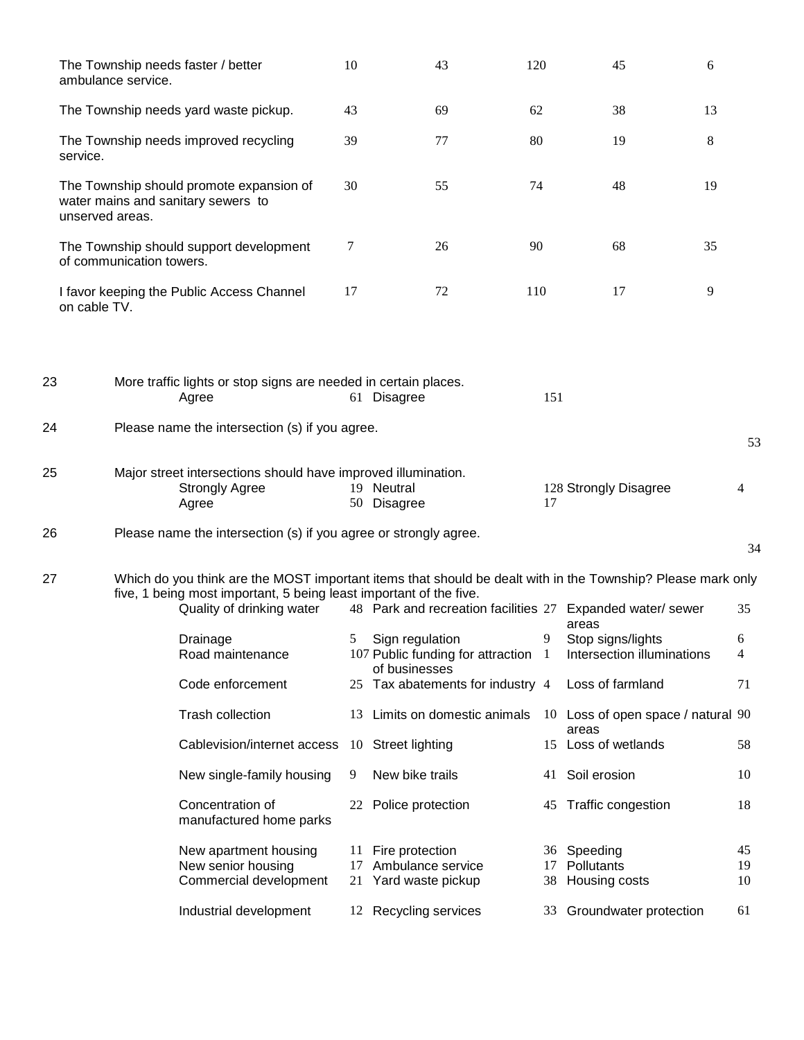|              | ambulance service.       | The Township needs faster / better                                                              | 10  | 43<br>120                                                          |     | 45<br>6                                                                                                     |                |
|--------------|--------------------------|-------------------------------------------------------------------------------------------------|-----|--------------------------------------------------------------------|-----|-------------------------------------------------------------------------------------------------------------|----------------|
|              |                          | The Township needs yard waste pickup.                                                           | 43  | 69<br>62                                                           |     | 38<br>13                                                                                                    |                |
| service.     |                          | The Township needs improved recycling                                                           | 39  | 80<br>77                                                           |     | 8<br>19                                                                                                     |                |
|              | unserved areas.          | The Township should promote expansion of<br>water mains and sanitary sewers to                  | 30  | 55<br>74                                                           |     | 48<br>19                                                                                                    |                |
|              | of communication towers. | The Township should support development                                                         | 7   | 26<br>90                                                           |     | 68<br>35                                                                                                    |                |
| on cable TV. |                          | I favor keeping the Public Access Channel                                                       | 17  | 72<br>110                                                          |     | 17<br>9                                                                                                     |                |
| 23           |                          | More traffic lights or stop signs are needed in certain places.<br>Agree                        |     | 61 Disagree                                                        | 151 |                                                                                                             |                |
| 24           |                          | Please name the intersection (s) if you agree.                                                  |     |                                                                    |     |                                                                                                             | 53             |
| 25           |                          | Major street intersections should have improved illumination.<br><b>Strongly Agree</b><br>Agree |     | 19 Neutral<br>50 Disagree                                          | 17  | 128 Strongly Disagree                                                                                       | 4              |
| 26           |                          | Please name the intersection (s) if you agree or strongly agree.                                |     |                                                                    |     |                                                                                                             | 34             |
| 27           |                          | five, 1 being most important, 5 being least important of the five.<br>Quality of drinking water |     | 48 Park and recreation facilities 27 Expanded water/ sewer         |     | Which do you think are the MOST important items that should be dealt with in the Township? Please mark only | 35             |
|              |                          | Drainage                                                                                        | 5   | Sign regulation                                                    | 9   | areas<br>Stop signs/lights                                                                                  | 6              |
|              |                          | Road maintenance                                                                                |     | 107 Public funding for attraction 1<br>of businesses               |     | Intersection illuminations                                                                                  | 4              |
|              |                          | Code enforcement                                                                                |     | 25 Tax abatements for industry 4                                   |     | Loss of farmland                                                                                            | 71             |
|              |                          | Trash collection                                                                                | 13. | Limits on domestic animals                                         |     | 10 Loss of open space / natural 90<br>areas                                                                 |                |
|              |                          | Cablevision/internet access                                                                     |     | 10 Street lighting                                                 | 15  | Loss of wetlands                                                                                            | 58             |
|              |                          | New single-family housing                                                                       | 9   | New bike trails                                                    |     | 41 Soil erosion                                                                                             | 10             |
|              |                          | Concentration of<br>manufactured home parks                                                     |     | 22 Police protection                                               | 45  | Traffic congestion                                                                                          | 18             |
|              |                          | New apartment housing<br>New senior housing<br>Commercial development                           |     | 11 Fire protection<br>17 Ambulance service<br>21 Yard waste pickup |     | 36 Speeding<br>17 Pollutants<br>38 Housing costs                                                            | 45<br>19<br>10 |
|              |                          | Industrial development                                                                          |     | 12 Recycling services                                              | 33  | Groundwater protection                                                                                      | 61             |